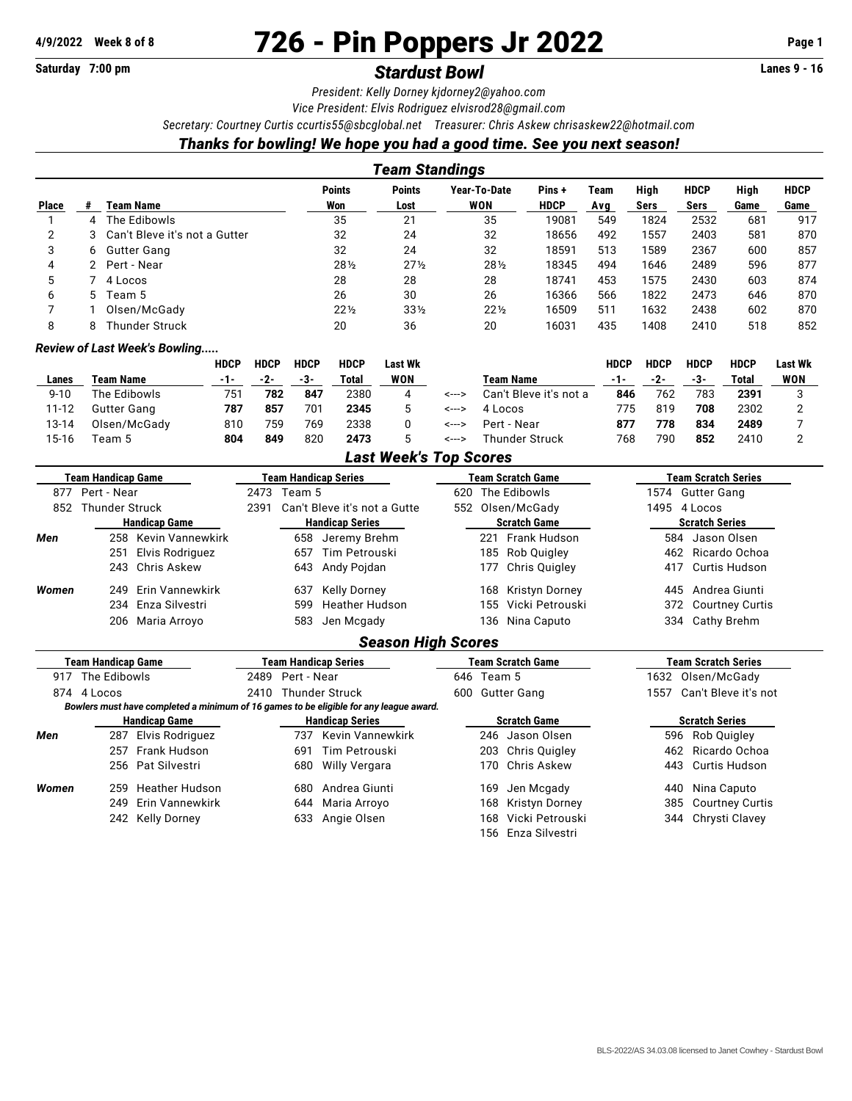# **4/9/2022 Week 8 of 8** 726 - Pin Poppers Jr 2022 **Page 1**

## Saturday 7:00 pm **Stardust Bowl Standust Bowl Communist Example 2018** Lanes 9 - 16

*President: Kelly Dorney [kjdorney2@yahoo.com](mailto:kjdorney2@yahoo.com)*

*Vice President: Elvis Rodriguez [elvisrod28@gmail.com](mailto:elvisrod28@gmail.com)*

*Secretary: Courtney Curtis [ccurtis55@sbcglobal.net](mailto:ccurtis55@sbcglobal.net) Treasurer: Chris Askew [chrisaskew22@hotmail.com](mailto:chrisaskew22@hotmail.com)*

### *Thanks for bowling! We hope you had a good time. See you next season!*

| Team Standings |    |                                 |                      |                       |                     |                      |             |              |                            |              |                     |
|----------------|----|---------------------------------|----------------------|-----------------------|---------------------|----------------------|-------------|--------------|----------------------------|--------------|---------------------|
| <b>Place</b>   |    | Team Name                       | <b>Points</b><br>Won | <b>Points</b><br>Lost | Year-To-Date<br>WON | Pins+<br><b>HDCP</b> | Team<br>Avg | High<br>Sers | <b>HDCP</b><br><b>Sers</b> | High<br>Game | <b>HDCP</b><br>Game |
|                | 4  | The Edibowls                    | 35                   | 21                    | 35                  | 19081                | 549         | 1824         | 2532                       | 681          | 917                 |
| 2              |    | 3 Can't Bleve it's not a Gutter | 32                   | 24                    | 32                  | 18656                | 492         | 1557         | 2403                       | 581          | 870                 |
| 3              | 6. | Gutter Gang                     | 32                   | 24                    | 32                  | 18591                | 513         | 1589         | 2367                       | 600          | 857                 |
| 4              |    | Pert - Near                     | 281/2                | $27\frac{1}{2}$       | 281/2               | 18345                | 494         | 1646         | 2489                       | 596          | 877                 |
| 5              |    | 4 Locos                         | 28                   | 28                    | 28                  | 18741                | 453         | 1575         | 2430                       | 603          | 874                 |
| 6              | 5. | Team 5                          | 26                   | 30                    | 26                  | 16366                | 566         | 1822         | 2473                       | 646          | 870                 |
|                |    | Olsen/McGady                    | $22\frac{1}{2}$      | $33\frac{1}{2}$       | $22\frac{1}{2}$     | 16509                | 511         | 1632         | 2438                       | 602          | 870                 |
| 8              | 8  | <b>Thunder Struck</b>           | 20                   | 36                    | 20                  | 16031                | 435         | 1408         | 2410                       | 518          | 852                 |

#### *Review of Last Week's Bowling.....*

|           |                    | <b>HDCP</b> | <b>HDCP</b> | <b>HDCP</b> | <b>HDCP</b> | Last Wk |       |                        | <b>HDCP</b> | HDCP | <b>HDCP</b> | <b>HDCP</b> | Last Wk |
|-----------|--------------------|-------------|-------------|-------------|-------------|---------|-------|------------------------|-------------|------|-------------|-------------|---------|
| Lanes     | Team Name          | -1-         | -2-         | -3-         | Total       | WON     |       | Team Name              | -1-         | -2-  | -3-         | Total       | WON     |
| $9 - 10$  | The Edibowls       | 751         | 782         | 847         | 2380        | 4       | <---> | Can't Bleve it's not a | 846         | 762  | 783         | 2391        |         |
| $11 - 12$ | <b>Gutter Gang</b> | 787         | 857         | 701         | 2345        |         | <---> | 4 Locos                | 775         | 819  | 708         | 2302        |         |
| 13-14     | Olsen/McGady       | 810         | 759         | 769         | 2338        |         | <---> | Pert - Near            | 877         | 778  | 834         | 2489        |         |
| 15-16     | Team 5             | 804         | 849         | 820         | 2473        |         | <---> | Thunder Struck         | 768         | 790  | 852         | 2410        |         |

#### *Last Week's Top Scores*

|       | <b>Team Handicap Game</b> |                        |                                      | Team Handicap Series |                                                                                        |                          | <b>Team Scratch Game</b> |                       |                       | <b>Team Scratch Series</b> |  |  |
|-------|---------------------------|------------------------|--------------------------------------|----------------------|----------------------------------------------------------------------------------------|--------------------------|--------------------------|-----------------------|-----------------------|----------------------------|--|--|
| 877   | Pert - Near               |                        |                                      | Team 5<br>2473       |                                                                                        |                          | The Edibowls<br>620      |                       |                       | 1574 Gutter Gang           |  |  |
| 852   | <b>Thunder Struck</b>     |                        | 2391<br>Can't Bleve it's not a Gutte |                      |                                                                                        | Olsen/McGady<br>552      |                          |                       | 1495<br>4 Locos       |                            |  |  |
|       | <b>Handicap Game</b>      | <b>Handicap Series</b> |                                      |                      | <b>Scratch Game</b>                                                                    |                          |                          | <b>Scratch Series</b> |                       |                            |  |  |
| Men   | 258                       | Kevin Vannewkirk       |                                      | 658                  | Jeremy Brehm                                                                           |                          | 221                      | Frank Hudson          | 584                   | Jason Olsen                |  |  |
|       | 251                       | Elvis Rodriguez        |                                      | 657                  | Tim Petrouski                                                                          |                          |                          | 185 Rob Quigley       | 462                   | Ricardo Ochoa              |  |  |
|       | 243                       | Chris Askew            |                                      | 643                  | Andy Pojdan                                                                            |                          | 177                      | Chris Quigley         | 417                   | Curtis Hudson              |  |  |
| Women | 249                       | Erin Vannewkirk        |                                      | 637                  | <b>Kelly Dorney</b>                                                                    |                          | 168                      | Kristyn Dorney        | 445                   | Andrea Giunti              |  |  |
|       | 234                       | Enza Silvestri         |                                      | 599                  | <b>Heather Hudson</b>                                                                  |                          | 155                      | Vicki Petrouski       | 372                   | <b>Courtney Curtis</b>     |  |  |
|       | 206                       | Maria Arroyo           |                                      | 583                  | Jen Mcgady                                                                             |                          | 136                      | Nina Caputo           | 334                   | Cathy Brehm                |  |  |
|       |                           |                        |                                      |                      | <b>Season High Scores</b>                                                              |                          |                          |                       |                       |                            |  |  |
|       | Team Handicap Game        |                        | <b>Team Handicap Series</b>          |                      |                                                                                        | <b>Team Scratch Game</b> |                          |                       | Team Scratch Series   |                            |  |  |
| 917   | The Edibowls              |                        | 2489                                 | Pert - Near          |                                                                                        |                          | 646 Team 5               |                       |                       | 1632<br>Olsen/McGady       |  |  |
|       | 874 4 Locos               |                        | 2410                                 |                      | <b>Thunder Struck</b>                                                                  | 600                      |                          | <b>Gutter Gang</b>    | 1557                  | Can't Bleve it's not       |  |  |
|       |                           |                        |                                      |                      | Bowlers must have completed a minimum of 16 games to be eligible for any league award. |                          |                          |                       |                       |                            |  |  |
|       | <b>Handicap Game</b>      |                        | <b>Handicap Series</b>               |                      |                                                                                        | <b>Scratch Game</b>      |                          |                       | <b>Scratch Series</b> |                            |  |  |
| Men   | 287                       | Elvis Rodriguez        |                                      | 737                  | Kevin Vannewkirk                                                                       |                          | 246                      | Jason Olsen           | 596                   | Rob Quigley                |  |  |
|       | 257                       | Frank Hudson           |                                      | 691                  | Tim Petrouski                                                                          |                          | 203                      | Chris Quigley         | 462                   | Ricardo Ochoa              |  |  |
|       | 256                       | Pat Silvestri          |                                      | 680                  | Willy Vergara                                                                          |                          | 170                      | <b>Chris Askew</b>    | 443                   | Curtis Hudson              |  |  |
| Women | 259                       | <b>Heather Hudson</b>  |                                      | 680                  | Andrea Giunti                                                                          |                          | 169                      | Jen Mcgady            | 440                   | Nina Caputo                |  |  |
|       | 249                       | Erin Vannewkirk        |                                      | 644                  | Maria Arroyo                                                                           |                          | 168                      | <b>Kristyn Dorney</b> | 385                   | <b>Courtney Curtis</b>     |  |  |

- 242 Kelly Dorney 633 Angie Olsen 168 Vicki Petrouski 344 Chrysti Clavey
	-

156 Enza Silvestri